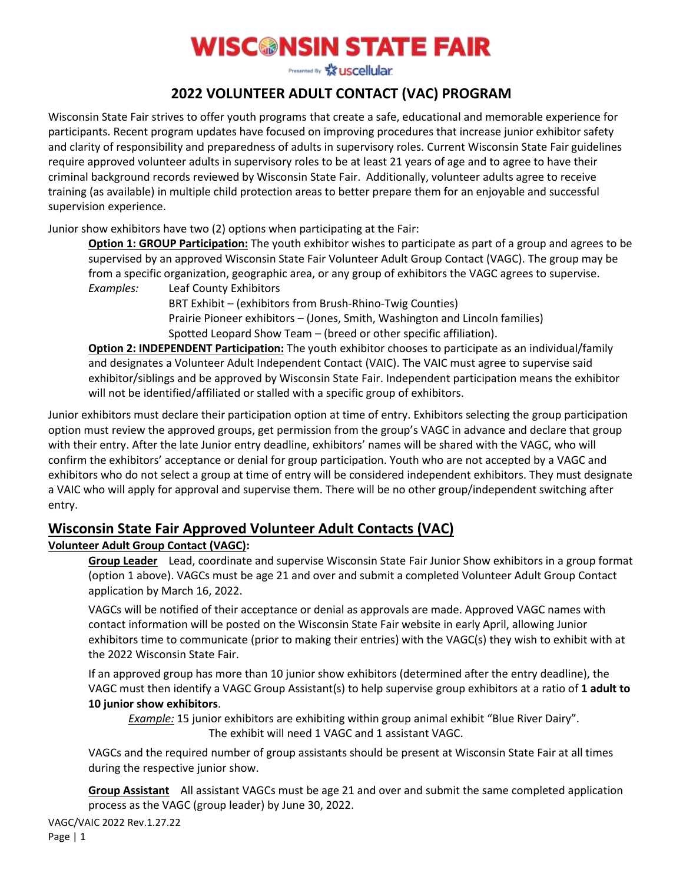# **WISC®NSIN STATE FAIR**

Presented By X uscellular.

## **2022 VOLUNTEER ADULT CONTACT (VAC) PROGRAM**

Wisconsin State Fair strives to offer youth programs that create a safe, educational and memorable experience for participants. Recent program updates have focused on improving procedures that increase junior exhibitor safety and clarity of responsibility and preparedness of adults in supervisory roles. Current Wisconsin State Fair guidelines require approved volunteer adults in supervisory roles to be at least 21 years of age and to agree to have their criminal background records reviewed by Wisconsin State Fair. Additionally, volunteer adults agree to receive training (as available) in multiple child protection areas to better prepare them for an enjoyable and successful supervision experience.

Junior show exhibitors have two (2) options when participating at the Fair:

**Option 1: GROUP Participation:** The youth exhibitor wishes to participate as part of a group and agrees to be supervised by an approved Wisconsin State Fair Volunteer Adult Group Contact (VAGC). The group may be from a specific organization, geographic area, or any group of exhibitors the VAGC agrees to supervise. *Examples:* Leaf County Exhibitors

> BRT Exhibit – (exhibitors from Brush-Rhino-Twig Counties) Prairie Pioneer exhibitors – (Jones, Smith, Washington and Lincoln families) Spotted Leopard Show Team – (breed or other specific affiliation).

**Option 2: INDEPENDENT Participation:** The youth exhibitor chooses to participate as an individual/family and designates a Volunteer Adult Independent Contact (VAIC). The VAIC must agree to supervise said exhibitor/siblings and be approved by Wisconsin State Fair. Independent participation means the exhibitor will not be identified/affiliated or stalled with a specific group of exhibitors.

Junior exhibitors must declare their participation option at time of entry. Exhibitors selecting the group participation option must review the approved groups, get permission from the group's VAGC in advance and declare that group with their entry. After the late Junior entry deadline, exhibitors' names will be shared with the VAGC, who will confirm the exhibitors' acceptance or denial for group participation. Youth who are not accepted by a VAGC and exhibitors who do not select a group at time of entry will be considered independent exhibitors. They must designate a VAIC who will apply for approval and supervise them. There will be no other group/independent switching after entry.

## **Wisconsin State Fair Approved Volunteer Adult Contacts (VAC)**

#### **Volunteer Adult Group Contact (VAGC):**

**Group Leader** Lead, coordinate and supervise Wisconsin State Fair Junior Show exhibitors in a group format (option 1 above). VAGCs must be age 21 and over and submit a completed Volunteer Adult Group Contact application by March 16, 2022.

VAGCs will be notified of their acceptance or denial as approvals are made. Approved VAGC names with contact information will be posted on the Wisconsin State Fair website in early April, allowing Junior exhibitors time to communicate (prior to making their entries) with the VAGC(s) they wish to exhibit with at the 2022 Wisconsin State Fair.

If an approved group has more than 10 junior show exhibitors (determined after the entry deadline), the VAGC must then identify a VAGC Group Assistant(s) to help supervise group exhibitors at a ratio of **1 adult to 10 junior show exhibitors**.

*Example:* 15 junior exhibitors are exhibiting within group animal exhibit "Blue River Dairy". The exhibit will need 1 VAGC and 1 assistant VAGC.

VAGCs and the required number of group assistants should be present at Wisconsin State Fair at all times during the respective junior show.

**Group Assistant** All assistant VAGCs must be age 21 and over and submit the same completed application process as the VAGC (group leader) by June 30, 2022.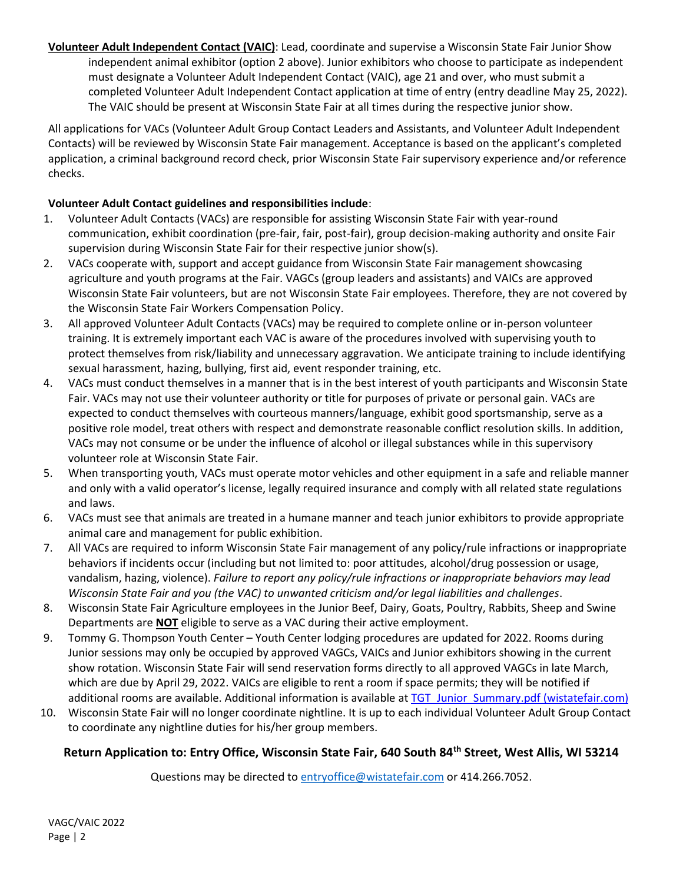**Volunteer Adult Independent Contact (VAIC)**: Lead, coordinate and supervise a Wisconsin State Fair Junior Show independent animal exhibitor (option 2 above). Junior exhibitors who choose to participate as independent must designate a Volunteer Adult Independent Contact (VAIC), age 21 and over, who must submit a completed Volunteer Adult Independent Contact application at time of entry (entry deadline May 25, 2022). The VAIC should be present at Wisconsin State Fair at all times during the respective junior show.

All applications for VACs (Volunteer Adult Group Contact Leaders and Assistants, and Volunteer Adult Independent Contacts) will be reviewed by Wisconsin State Fair management. Acceptance is based on the applicant's completed application, a criminal background record check, prior Wisconsin State Fair supervisory experience and/or reference checks.

#### **Volunteer Adult Contact guidelines and responsibilities include**:

- 1. Volunteer Adult Contacts (VACs) are responsible for assisting Wisconsin State Fair with year-round communication, exhibit coordination (pre-fair, fair, post-fair), group decision-making authority and onsite Fair supervision during Wisconsin State Fair for their respective junior show(s).
- 2. VACs cooperate with, support and accept guidance from Wisconsin State Fair management showcasing agriculture and youth programs at the Fair. VAGCs (group leaders and assistants) and VAICs are approved Wisconsin State Fair volunteers, but are not Wisconsin State Fair employees. Therefore, they are not covered by the Wisconsin State Fair Workers Compensation Policy.
- 3. All approved Volunteer Adult Contacts (VACs) may be required to complete online or in-person volunteer training. It is extremely important each VAC is aware of the procedures involved with supervising youth to protect themselves from risk/liability and unnecessary aggravation. We anticipate training to include identifying sexual harassment, hazing, bullying, first aid, event responder training, etc.
- 4. VACs must conduct themselves in a manner that is in the best interest of youth participants and Wisconsin State Fair. VACs may not use their volunteer authority or title for purposes of private or personal gain. VACs are expected to conduct themselves with courteous manners/language, exhibit good sportsmanship, serve as a positive role model, treat others with respect and demonstrate reasonable conflict resolution skills. In addition, VACs may not consume or be under the influence of alcohol or illegal substances while in this supervisory volunteer role at Wisconsin State Fair.
- 5. When transporting youth, VACs must operate motor vehicles and other equipment in a safe and reliable manner and only with a valid operator's license, legally required insurance and comply with all related state regulations and laws.
- 6. VACs must see that animals are treated in a humane manner and teach junior exhibitors to provide appropriate animal care and management for public exhibition.
- 7. All VACs are required to inform Wisconsin State Fair management of any policy/rule infractions or inappropriate behaviors if incidents occur (including but not limited to: poor attitudes, alcohol/drug possession or usage, vandalism, hazing, violence). *Failure to report any policy/rule infractions or inappropriate behaviors may lead Wisconsin State Fair and you (the VAC) to unwanted criticism and/or legal liabilities and challenges*.
- 8. Wisconsin State Fair Agriculture employees in the Junior Beef, Dairy, Goats, Poultry, Rabbits, Sheep and Swine Departments are **NOT** eligible to serve as a VAC during their active employment.
- 9. Tommy G. Thompson Youth Center Youth Center lodging procedures are updated for 2022. Rooms during Junior sessions may only be occupied by approved VAGCs, VAICs and Junior exhibitors showing in the current show rotation. Wisconsin State Fair will send reservation forms directly to all approved VAGCs in late March, which are due by April 29, 2022. VAICs are eligible to rent a room if space permits; they will be notified if additional rooms are available. Additional information is available a[t TGT\\_Junior\\_Summary.pdf \(wistatefair.com\)](http://www.wistatefair.com/pdfs/competitions/entry_info/TGT_Junior_Summary.pdf)
- 10. Wisconsin State Fair will no longer coordinate nightline. It is up to each individual Volunteer Adult Group Contact to coordinate any nightline duties for his/her group members.

#### **Return Application to: Entry Office, Wisconsin State Fair, 640 South 84th Street, West Allis, WI 53214**

Questions may be directed t[o entryoffice@wistatefair.com](mailto:entryoffice@wistatefair.com) or 414.266.7052.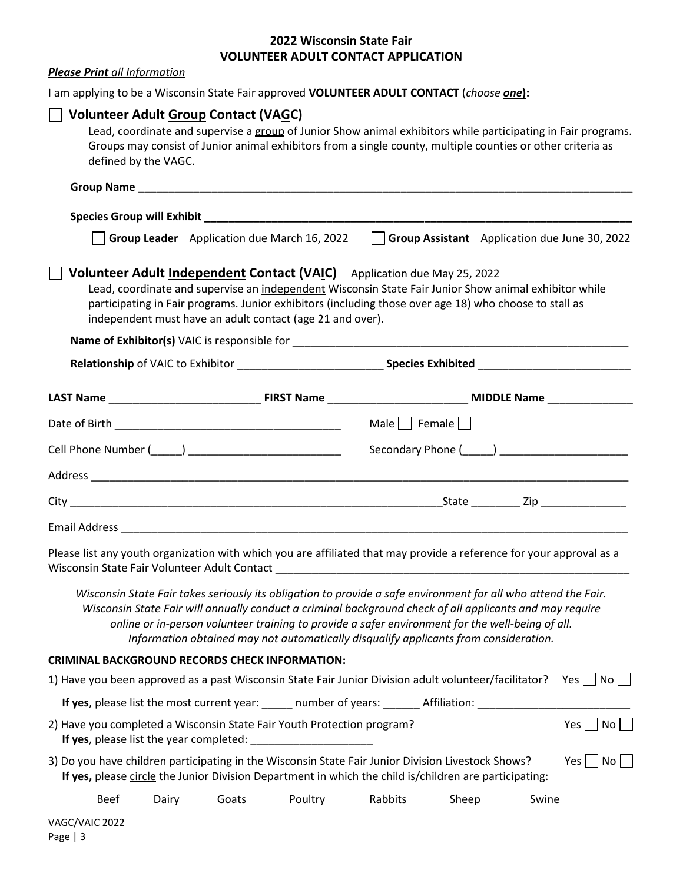### **2022 Wisconsin State Fair VOLUNTEER ADULT CONTACT APPLICATION**

| <b>Please Print</b> all Information                                                                                                                                  |       |       |                                                           |                                                                                                                                                                                                                                                                                                                                                                                                                        |       |       |                      |
|----------------------------------------------------------------------------------------------------------------------------------------------------------------------|-------|-------|-----------------------------------------------------------|------------------------------------------------------------------------------------------------------------------------------------------------------------------------------------------------------------------------------------------------------------------------------------------------------------------------------------------------------------------------------------------------------------------------|-------|-------|----------------------|
| I am applying to be a Wisconsin State Fair approved VOLUNTEER ADULT CONTACT (choose <i>one</i> ):                                                                    |       |       |                                                           |                                                                                                                                                                                                                                                                                                                                                                                                                        |       |       |                      |
| <b>Volunteer Adult Group Contact (VAGC)</b><br>defined by the VAGC.                                                                                                  |       |       |                                                           | Lead, coordinate and supervise a group of Junior Show animal exhibitors while participating in Fair programs.<br>Groups may consist of Junior animal exhibitors from a single county, multiple counties or other criteria as                                                                                                                                                                                           |       |       |                      |
|                                                                                                                                                                      |       |       |                                                           |                                                                                                                                                                                                                                                                                                                                                                                                                        |       |       |                      |
|                                                                                                                                                                      |       |       |                                                           |                                                                                                                                                                                                                                                                                                                                                                                                                        |       |       |                      |
|                                                                                                                                                                      |       |       | Group Leader Application due March 16, 2022               | Group Assistant Application due June 30, 2022                                                                                                                                                                                                                                                                                                                                                                          |       |       |                      |
|                                                                                                                                                                      |       |       | independent must have an adult contact (age 21 and over). | Volunteer Adult Independent Contact (VAIC) Application due May 25, 2022<br>Lead, coordinate and supervise an independent Wisconsin State Fair Junior Show animal exhibitor while<br>participating in Fair programs. Junior exhibitors (including those over age 18) who choose to stall as                                                                                                                             |       |       |                      |
|                                                                                                                                                                      |       |       |                                                           |                                                                                                                                                                                                                                                                                                                                                                                                                        |       |       |                      |
|                                                                                                                                                                      |       |       |                                                           |                                                                                                                                                                                                                                                                                                                                                                                                                        |       |       |                      |
|                                                                                                                                                                      |       |       |                                                           |                                                                                                                                                                                                                                                                                                                                                                                                                        |       |       |                      |
|                                                                                                                                                                      |       |       |                                                           | Male $\Box$ Female $\Box$                                                                                                                                                                                                                                                                                                                                                                                              |       |       |                      |
|                                                                                                                                                                      |       |       |                                                           |                                                                                                                                                                                                                                                                                                                                                                                                                        |       |       |                      |
|                                                                                                                                                                      |       |       |                                                           |                                                                                                                                                                                                                                                                                                                                                                                                                        |       |       |                      |
|                                                                                                                                                                      |       |       |                                                           |                                                                                                                                                                                                                                                                                                                                                                                                                        |       |       |                      |
|                                                                                                                                                                      |       |       |                                                           |                                                                                                                                                                                                                                                                                                                                                                                                                        |       |       |                      |
| Please list any youth organization with which you are affiliated that may provide a reference for your approval as a<br>Wisconsin State Fair Volunteer Adult Contact |       |       |                                                           |                                                                                                                                                                                                                                                                                                                                                                                                                        |       |       |                      |
|                                                                                                                                                                      |       |       |                                                           | Wisconsin State Fair takes seriously its obligation to provide a safe environment for all who attend the Fair.<br>Wisconsin State Fair will annually conduct a criminal background check of all applicants and may require<br>online or in-person volunteer training to provide a safer environment for the well-being of all.<br>Information obtained may not automatically disqualify applicants from consideration. |       |       |                      |
| <b>CRIMINAL BACKGROUND RECORDS CHECK INFORMATION:</b>                                                                                                                |       |       |                                                           |                                                                                                                                                                                                                                                                                                                                                                                                                        |       |       |                      |
| 1) Have you been approved as a past Wisconsin State Fair Junior Division adult volunteer/facilitator? Yes $\Box$ No $\Box$                                           |       |       |                                                           |                                                                                                                                                                                                                                                                                                                                                                                                                        |       |       |                      |
|                                                                                                                                                                      |       |       |                                                           | If yes, please list the most current year: _____ number of years: ______ Affiliation: _____________                                                                                                                                                                                                                                                                                                                    |       |       |                      |
| 2) Have you completed a Wisconsin State Fair Youth Protection program?<br>If yes, please list the year completed: _                                                  |       |       |                                                           |                                                                                                                                                                                                                                                                                                                                                                                                                        |       |       | $Yes \Box No \Box$   |
| 3) Do you have children participating in the Wisconsin State Fair Junior Division Livestock Shows?                                                                   |       |       |                                                           | If yes, please circle the Junior Division Department in which the child is/children are participating:                                                                                                                                                                                                                                                                                                                 |       |       | $Yes \mid \text{No}$ |
| <b>Beef</b>                                                                                                                                                          | Dairy | Goats | Poultry                                                   | Rabbits                                                                                                                                                                                                                                                                                                                                                                                                                | Sheep | Swine |                      |
| VAGC/VAIC 2022                                                                                                                                                       |       |       |                                                           |                                                                                                                                                                                                                                                                                                                                                                                                                        |       |       |                      |